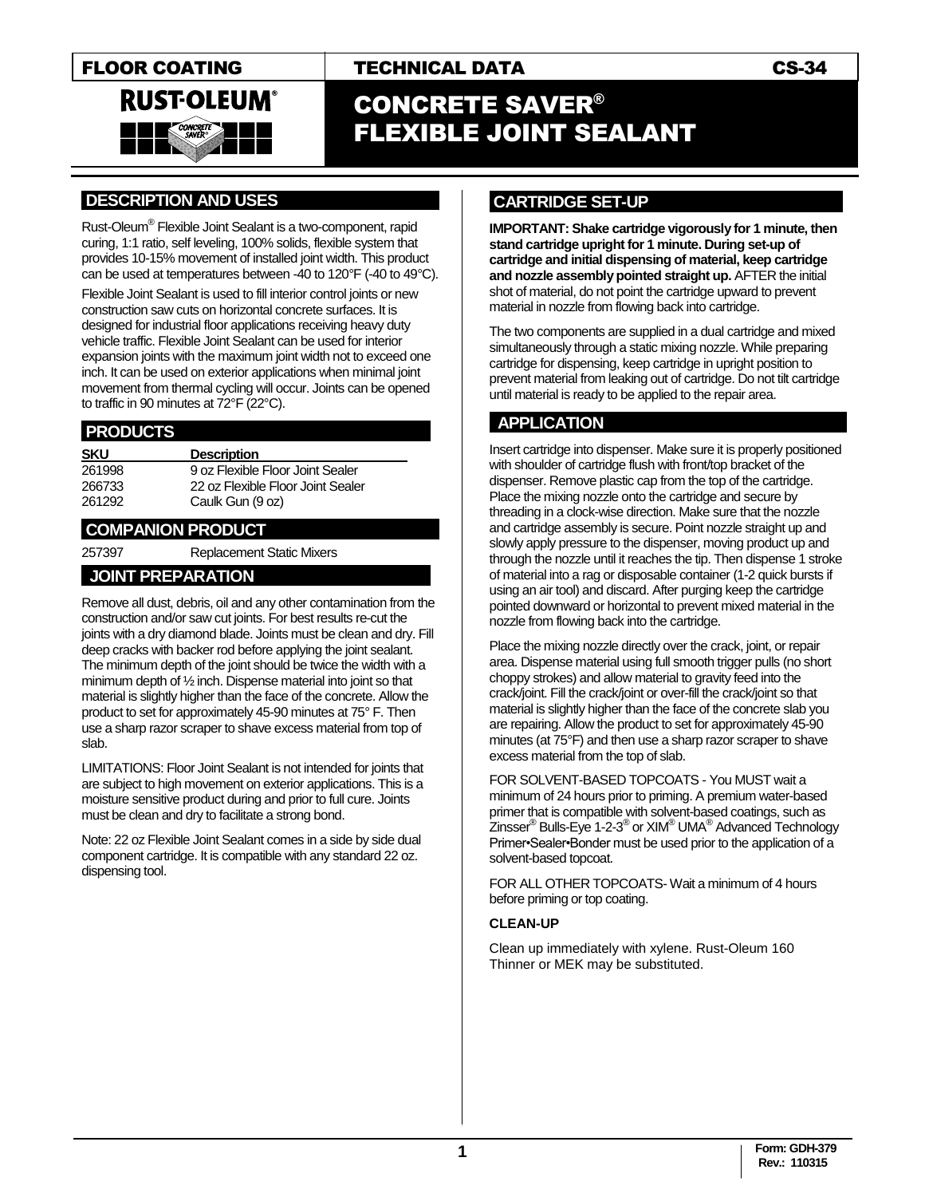

# FLOOR COATING TECHNICAL DATA TECHNICAL OF THE CS-34

# CONCRETE SAVER® FLEXIBLE JOINT SEALANT

### **.DESCRIPTION AND USES .**

Rust-Oleum® Flexible Joint Sealant is a two-component, rapid curing, 1:1 ratio, self leveling, 100% solids, flexible system that provides 10-15% movement of installed joint width. This product can be used at temperatures between -40 to 120°F (-40 to 49°C).

Flexible Joint Sealant is used to fill interior control joints or new construction saw cuts on horizontal concrete surfaces. It is designed for industrial floor applications receiving heavy duty vehicle traffic. Flexible Joint Sealant can be used for interior expansion joints with the maximum joint width not to exceed one inch. It can be used on exterior applications when minimal joint movement from thermal cycling will occur. Joints can be opened to traffic in 90 minutes at 72°F (22°C).

### **.PRODUCTS .**

| <b>SKU</b> | <b>Description</b>                |
|------------|-----------------------------------|
| 261998     | 9 oz Flexible Floor Joint Sealer  |
| 266733     | 22 oz Flexible Floor Joint Sealer |
| 261292     | Caulk Gun (9 oz)                  |

### **.COMPANION PRODUCT .**

257397 Replacement Static Mixers

l,

# **JOINT PREPARATION .**

Remove all dust, debris, oil and any other contamination from the construction and/or saw cut joints. For best results re-cut the joints with a dry diamond blade. Joints must be clean and dry. Fill deep cracks with backer rod before applying the joint sealant. The minimum depth of the joint should be twice the width with a minimum depth of ½ inch. Dispense material into joint so that material is slightly higher than the face of the concrete. Allow the product to set for approximately 45-90 minutes at 75° F. Then use a sharp razor scraper to shave excess material from top of slab.

LIMITATIONS: Floor Joint Sealant is not intended for joints that are subject to high movement on exterior applications. This is a moisture sensitive product during and prior to full cure. Joints must be clean and dry to facilitate a strong bond.

Note: 22 oz Flexible Joint Sealant comes in a side by side dual component cartridge. It is compatible with any standard 22 oz. dispensing tool.

### **CARTRIDGE SET-UP .**

**IMPORTANT: Shake cartridge vigorously for 1 minute, then stand cartridge upright for 1 minute. During set-up of cartridge and initial dispensing of material, keep cartridge and nozzle assembly pointed straight up.** AFTER the initial shot of material, do not point the cartridge upward to prevent material in nozzle from flowing back into cartridge.

The two components are supplied in a dual cartridge and mixed simultaneously through a static mixing nozzle. While preparing cartridge for dispensing, keep cartridge in upright position to prevent material from leaking out of cartridge. Do not tilt cartridge until material is ready to be applied to the repair area.

## **.APPLICATION .**

Insert cartridge into dispenser. Make sure it is properly positioned with shoulder of cartridge flush with front/top bracket of the dispenser. Remove plastic cap from the top of the cartridge. Place the mixing nozzle onto the cartridge and secure by threading in a clock-wise direction. Make sure that the nozzle and cartridge assembly is secure. Point nozzle straight up and slowly apply pressure to the dispenser, moving product up and through the nozzle until it reaches the tip. Then dispense 1 stroke of material into a rag or disposable container (1-2 quick bursts if using an air tool) and discard. After purging keep the cartridge pointed downward or horizontal to prevent mixed material in the nozzle from flowing back into the cartridge.

Place the mixing nozzle directly over the crack, joint, or repair area. Dispense material using full smooth trigger pulls (no short choppy strokes) and allow material to gravity feed into the crack/joint. Fill the crack/joint or over-fill the crack/joint so that material is slightly higher than the face of the concrete slab you are repairing. Allow the product to set for approximately 45-90 minutes (at 75°F) and then use a sharp razor scraper to shave excess material from the top of slab.

FOR SOLVENT-BASED TOPCOATS - You MUST wait a minimum of 24 hours prior to priming. A premium water-based primer that is compatible with solvent-based coatings, such as .<br>Zinsser® Bulls-Eye 1-2-3® or XIM® UMA® Advanced Technology Primer•Sealer•Bonder must be used prior to the application of a solvent-based topcoat.

FOR ALL OTHER TOPCOATS- Wait a minimum of 4 hours before priming or top coating.

### **CLEAN-UP**

Clean up immediately with xylene. Rust-Oleum 160 Thinner or MEK may be substituted.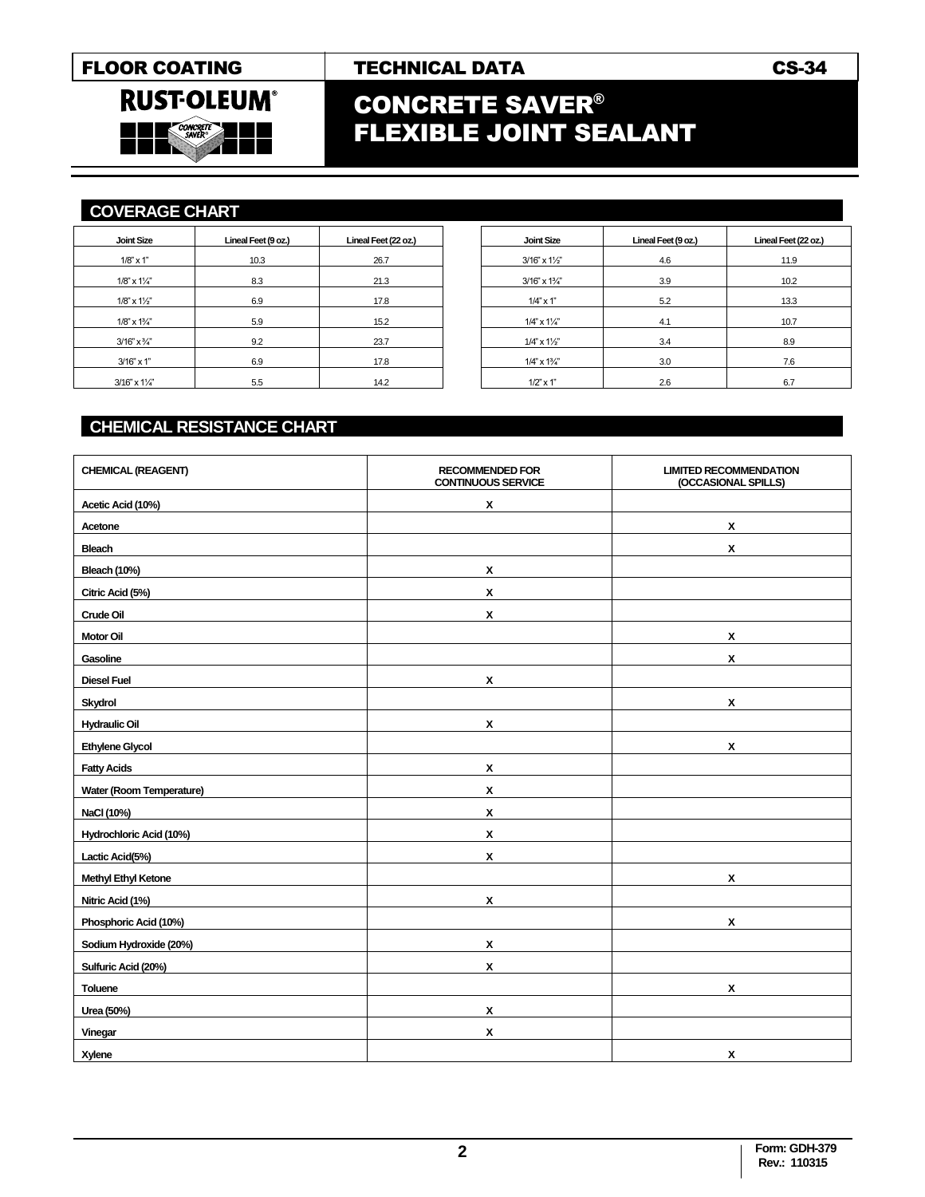**RUST-OLEUM®** 

**CONCRET**<br>SAVER

# FLOOR COATING FECHNICAL DATA CS-34

# CONCRETE SAVER® FLEXIBLE JOINT SEALANT

## **COVERAGE CHART .**

l,

| Lineal Feet (9 oz.) | Lineal Feet (22 oz.) |
|---------------------|----------------------|
| 10.3                | 26.7                 |
| 8.3                 | 21.3                 |
| 6.9                 | 17.8                 |
|                     | 15.2                 |
|                     | 23.7                 |
|                     | 17.8                 |
| 5.5                 | 14.2                 |
|                     | 5.9<br>9.2<br>6.9    |

| Joint Size                  | Lineal Feet (9 oz.) | Lineal Feet (22 oz.) |
|-----------------------------|---------------------|----------------------|
| $3/16" \times 1\frac{1}{2"$ | 4.6                 | 11.9                 |
| $3/16" \times 1\frac{3}{4}$ | 3.9                 | 10.2                 |
| $1/4$ " x 1"                | 5.2                 | 13.3                 |
| $1/4$ " x $1\frac{1}{4}$ "  | 4.1                 | 10.7                 |
| $1/4$ " x $1\frac{1}{2}$ "  | 3.4                 | 8.9                  |
| $1/4$ " x $1\frac{3}{4}$ "  | 3.0                 | 7.6                  |
| $1/2$ " $\times$ 1"         | 2.6                 | 6.7                  |

# **CHEMICAL RESISTANCE CHART .**

| <b>CHEMICAL (REAGENT)</b>  | <b>RECOMMENDED FOR</b><br><b>CONTINUOUS SERVICE</b> | <b>LIMITED RECOMMENDATION</b><br>(OCCASIONAL SPILLS) |
|----------------------------|-----------------------------------------------------|------------------------------------------------------|
| Acetic Acid (10%)          | X                                                   |                                                      |
| Acetone                    |                                                     | X                                                    |
| <b>Bleach</b>              |                                                     | $\mathbf{x}$                                         |
| <b>Bleach (10%)</b>        | X                                                   |                                                      |
| Citric Acid (5%)           | X                                                   |                                                      |
| Crude Oil                  | $\pmb{\mathsf{x}}$                                  |                                                      |
| <b>Motor Oil</b>           |                                                     | X                                                    |
| Gasoline                   |                                                     | X                                                    |
| <b>Diesel Fuel</b>         | x                                                   |                                                      |
| <b>Skydrol</b>             |                                                     | $\mathbf{x}$                                         |
| <b>Hydraulic Oil</b>       | X                                                   |                                                      |
| <b>Ethylene Glycol</b>     |                                                     | X                                                    |
| <b>Fatty Acids</b>         | X                                                   |                                                      |
| Water (Room Temperature)   | $\mathsf{x}$                                        |                                                      |
| NaCl (10%)                 | X                                                   |                                                      |
| Hydrochloric Acid (10%)    | X                                                   |                                                      |
| Lactic Acid(5%)            | X                                                   |                                                      |
| <b>Methyl Ethyl Ketone</b> |                                                     | x                                                    |
| Nitric Acid (1%)           | X                                                   |                                                      |
| Phosphoric Acid (10%)      |                                                     | x                                                    |
| Sodium Hydroxide (20%)     | X                                                   |                                                      |
| Sulfuric Acid (20%)        | X                                                   |                                                      |
| Toluene                    |                                                     | $\mathbf{x}$                                         |
| Urea (50%)                 | X                                                   |                                                      |
| Vinegar                    | X                                                   |                                                      |
| Xylene                     |                                                     | X                                                    |